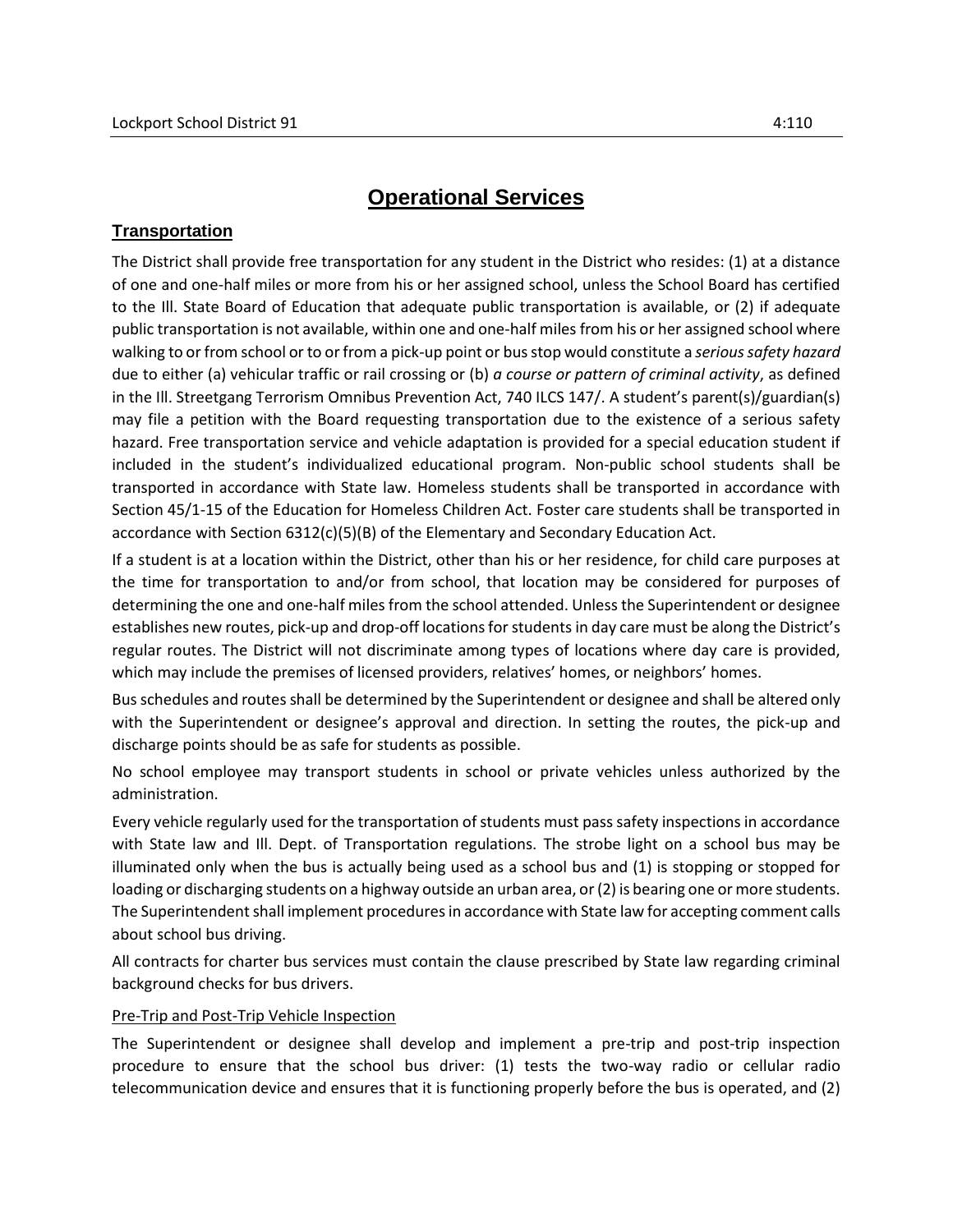## **Transportation**

The District shall provide free transportation for any student in the District who resides: (1) at a distance of one and one-half miles or more from his or her assigned school, unless the School Board has certified to the Ill. State Board of Education that adequate public transportation is available, or (2) if adequate public transportation is not available, within one and one-half miles from his or her assigned school where walking to or from school or to or from a pick-up point or bus stop would constitute a *serious safety hazard* due to either (a) vehicular traffic or rail crossing or (b) *a course or pattern of criminal activity*, as defined in the Ill. Streetgang Terrorism Omnibus Prevention Act, 740 ILCS 147/. A student's parent(s)/guardian(s) may file a petition with the Board requesting transportation due to the existence of a serious safety hazard. Free transportation service and vehicle adaptation is provided for a special education student if included in the student's individualized educational program. Non-public school students shall be transported in accordance with State law. Homeless students shall be transported in accordance with Section 45/1-15 of the Education for Homeless Children Act. Foster care students shall be transported in accordance with Section 6312(c)(5)(B) of the Elementary and Secondary Education Act.

If a student is at a location within the District, other than his or her residence, for child care purposes at the time for transportation to and/or from school, that location may be considered for purposes of determining the one and one-half miles from the school attended. Unless the Superintendent or designee establishes new routes, pick-up and drop-off locations for students in day care must be along the District's regular routes. The District will not discriminate among types of locations where day care is provided, which may include the premises of licensed providers, relatives' homes, or neighbors' homes.

Bus schedules and routes shall be determined by the Superintendent or designee and shall be altered only with the Superintendent or designee's approval and direction. In setting the routes, the pick-up and discharge points should be as safe for students as possible.

No school employee may transport students in school or private vehicles unless authorized by the administration.

Every vehicle regularly used for the transportation of students must pass safety inspections in accordance with State law and Ill. Dept. of Transportation regulations. The strobe light on a school bus may be illuminated only when the bus is actually being used as a school bus and (1) is stopping or stopped for loading or discharging students on a highway outside an urban area, or (2) is bearing one or more students. The Superintendent shall implement procedures in accordance with State law for accepting comment calls about school bus driving.

All contracts for charter bus services must contain the clause prescribed by State law regarding criminal background checks for bus drivers.

## Pre-Trip and Post-Trip Vehicle Inspection

The Superintendent or designee shall develop and implement a pre-trip and post-trip inspection procedure to ensure that the school bus driver: (1) tests the two-way radio or cellular radio telecommunication device and ensures that it is functioning properly before the bus is operated, and (2)